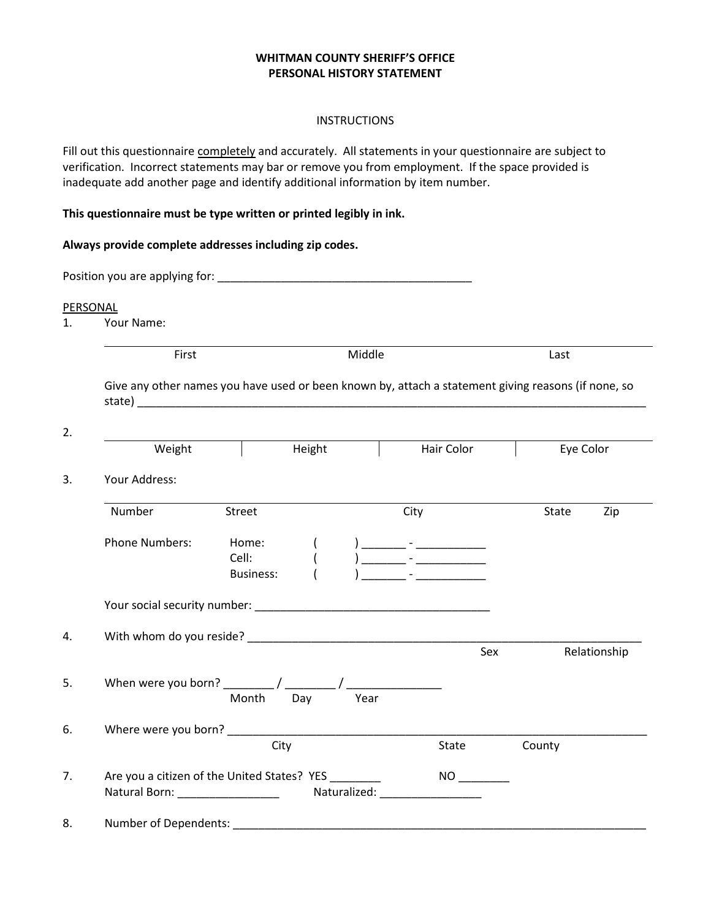#### **WHITMAN COUNTY SHERIFF'S OFFICE PERSONAL HISTORY STATEMENT**

#### INSTRUCTIONS

Fill out this questionnaire completely and accurately. All statements in your questionnaire are subject to verification. Incorrect statements may bar or remove you from employment. If the space provided is inadequate add another page and identify additional information by item number.

#### **This questionnaire must be type written or printed legibly in ink.**

| Always provide complete addresses including zip codes. |                                                                                                                                                                                                                                                                                                                                       |     |                           |            |           |              |
|--------------------------------------------------------|---------------------------------------------------------------------------------------------------------------------------------------------------------------------------------------------------------------------------------------------------------------------------------------------------------------------------------------|-----|---------------------------|------------|-----------|--------------|
|                                                        |                                                                                                                                                                                                                                                                                                                                       |     |                           |            |           |              |
| PERSONAL                                               |                                                                                                                                                                                                                                                                                                                                       |     |                           |            |           |              |
| Your Name:                                             |                                                                                                                                                                                                                                                                                                                                       |     |                           |            |           |              |
| First                                                  |                                                                                                                                                                                                                                                                                                                                       |     | Middle                    |            | Last      |              |
|                                                        | Give any other names you have used or been known by, attach a statement giving reasons (if none, so<br>state) and the state of the state of the state of the state of the state of the state of the state of the state of the state of the state of the state of the state of the state of the state of the state of the state of the |     |                           |            |           |              |
|                                                        | Weight Height Height                                                                                                                                                                                                                                                                                                                  |     |                           | Hair Color | Eye Color |              |
| Your Address:                                          |                                                                                                                                                                                                                                                                                                                                       |     |                           |            |           |              |
| Number                                                 | Street                                                                                                                                                                                                                                                                                                                                |     | City                      |            | State     | Zip          |
| <b>Phone Numbers:</b>                                  | Home:<br>Cell:<br><b>Business:</b>                                                                                                                                                                                                                                                                                                    |     |                           |            |           |              |
|                                                        | Your social security number: New Your Second Security 1999                                                                                                                                                                                                                                                                            |     |                           |            |           |              |
|                                                        |                                                                                                                                                                                                                                                                                                                                       |     |                           |            |           |              |
|                                                        |                                                                                                                                                                                                                                                                                                                                       |     |                           | Sex        |           | Relationship |
|                                                        | Month                                                                                                                                                                                                                                                                                                                                 | Day | Year                      |            |           |              |
|                                                        |                                                                                                                                                                                                                                                                                                                                       |     |                           |            |           |              |
|                                                        | City                                                                                                                                                                                                                                                                                                                                  |     |                           | State      | County    |              |
|                                                        | Are you a citizen of the United States? YES _________<br>Natural Born: _________________                                                                                                                                                                                                                                              |     | Naturalized: Naturalized: |            |           |              |
| Number of Dependents:                                  |                                                                                                                                                                                                                                                                                                                                       |     |                           |            |           |              |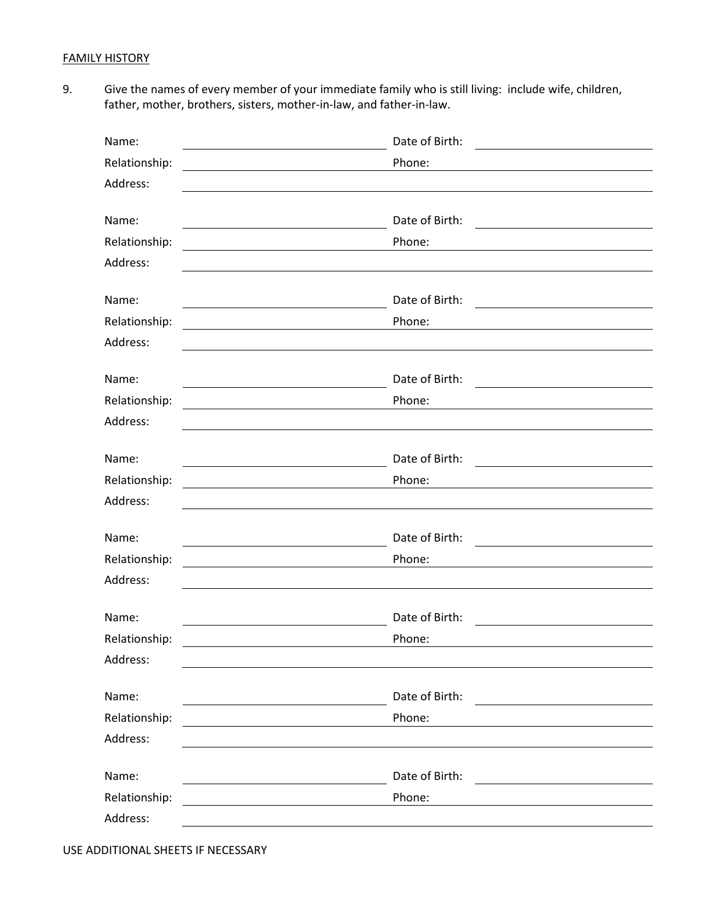## FAMILY HISTORY

9. Give the names of every member of your immediate family who is still living: include wife, children, father, mother, brothers, sisters, mother-in-law, and father-in-law.

| Name:                                                                                  | Date of Birth:                                                                                                                                                                                     |  |
|----------------------------------------------------------------------------------------|----------------------------------------------------------------------------------------------------------------------------------------------------------------------------------------------------|--|
| Relationship:                                                                          | Phone:                                                                                                                                                                                             |  |
| Address:                                                                               |                                                                                                                                                                                                    |  |
|                                                                                        |                                                                                                                                                                                                    |  |
| Name:                                                                                  | Date of Birth:<br><u> 1989 - Andrea Andrew Maria (h. 1989).</u>                                                                                                                                    |  |
| Relationship:                                                                          | Phone:                                                                                                                                                                                             |  |
| Address:                                                                               |                                                                                                                                                                                                    |  |
| Name:                                                                                  | Date of Birth:<br><u> 1989 - Johann Stoff, deutscher Stoffen und der Stoffen und der Stoffen und der Stoffen und der Stoffen und d</u>                                                             |  |
| Relationship:                                                                          | Phone:                                                                                                                                                                                             |  |
| Address:                                                                               |                                                                                                                                                                                                    |  |
| Name:                                                                                  | Date of Birth:                                                                                                                                                                                     |  |
| Relationship:                                                                          | <u> Alexandria de la contrada de la contrada de la contrada de la contrada de la contrada de la contrada de la c</u><br><u> 1989 - Johann Stein, mars an t-Amerikaansk kommunister (</u><br>Phone: |  |
| <u> 1989 - Johann Harry Barn, mars ar breist fan de Fryske kommunent (</u><br>Address: |                                                                                                                                                                                                    |  |
|                                                                                        |                                                                                                                                                                                                    |  |
| Name:                                                                                  | Date of Birth:<br><u> 1989 - Andrea Andrew Maria (h. 1989).</u>                                                                                                                                    |  |
| Relationship:                                                                          | Phone:                                                                                                                                                                                             |  |
| Address:                                                                               |                                                                                                                                                                                                    |  |
|                                                                                        |                                                                                                                                                                                                    |  |
| Name:                                                                                  | Date of Birth:                                                                                                                                                                                     |  |
| Relationship:<br>Address:                                                              | Phone:                                                                                                                                                                                             |  |
|                                                                                        |                                                                                                                                                                                                    |  |
| Name:                                                                                  | Date of Birth:                                                                                                                                                                                     |  |
| Relationship:                                                                          | Phone:                                                                                                                                                                                             |  |
| Address:                                                                               |                                                                                                                                                                                                    |  |
|                                                                                        |                                                                                                                                                                                                    |  |
| Name:                                                                                  | Date of Birth:<br><u> 1980 - Jan Samuel Barbara, martin di</u>                                                                                                                                     |  |
| Relationship:                                                                          | Phone:                                                                                                                                                                                             |  |
| Address:                                                                               |                                                                                                                                                                                                    |  |
| Name:                                                                                  | Date of Birth:                                                                                                                                                                                     |  |
| Relationship:                                                                          | Phone:                                                                                                                                                                                             |  |
| Address:                                                                               |                                                                                                                                                                                                    |  |
|                                                                                        |                                                                                                                                                                                                    |  |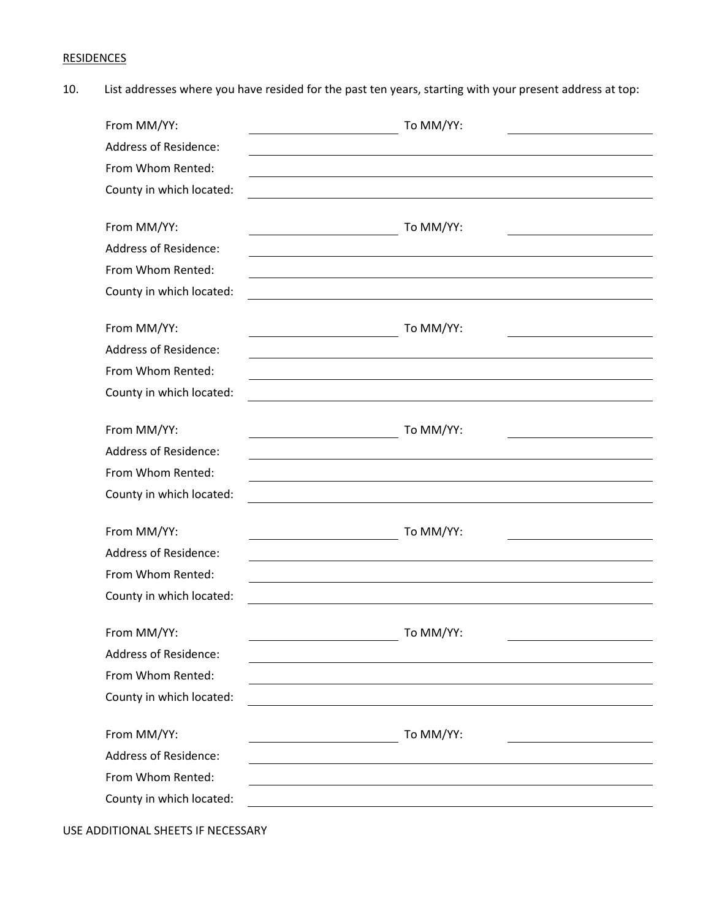# **RESIDENCES**

10. List addresses where you have resided for the past ten years, starting with your present address at top:

| From MM/YY:                  | To MM/YY: |
|------------------------------|-----------|
| <b>Address of Residence:</b> |           |
| From Whom Rented:            |           |
| County in which located:     |           |
|                              |           |
| From MM/YY:                  | To MM/YY: |
| <b>Address of Residence:</b> |           |
| From Whom Rented:            |           |
| County in which located:     |           |
| From MM/YY:                  | To MM/YY: |
| <b>Address of Residence:</b> |           |
| From Whom Rented:            |           |
| County in which located:     |           |
|                              |           |
| From MM/YY:                  | To MM/YY: |
| <b>Address of Residence:</b> |           |
| From Whom Rented:            |           |
| County in which located:     |           |
|                              |           |
| From MM/YY:                  | To MM/YY: |
| <b>Address of Residence:</b> |           |
| From Whom Rented:            |           |
| County in which located:     |           |
| From MM/YY:                  | To MM/YY: |
| <b>Address of Residence:</b> |           |
| From Whom Rented:            |           |
| County in which located:     |           |
|                              |           |
| From MM/YY:                  | To MM/YY: |
| <b>Address of Residence:</b> |           |
| From Whom Rented:            |           |
| County in which located:     |           |
|                              |           |

USE ADDITIONAL SHEETS IF NECESSARY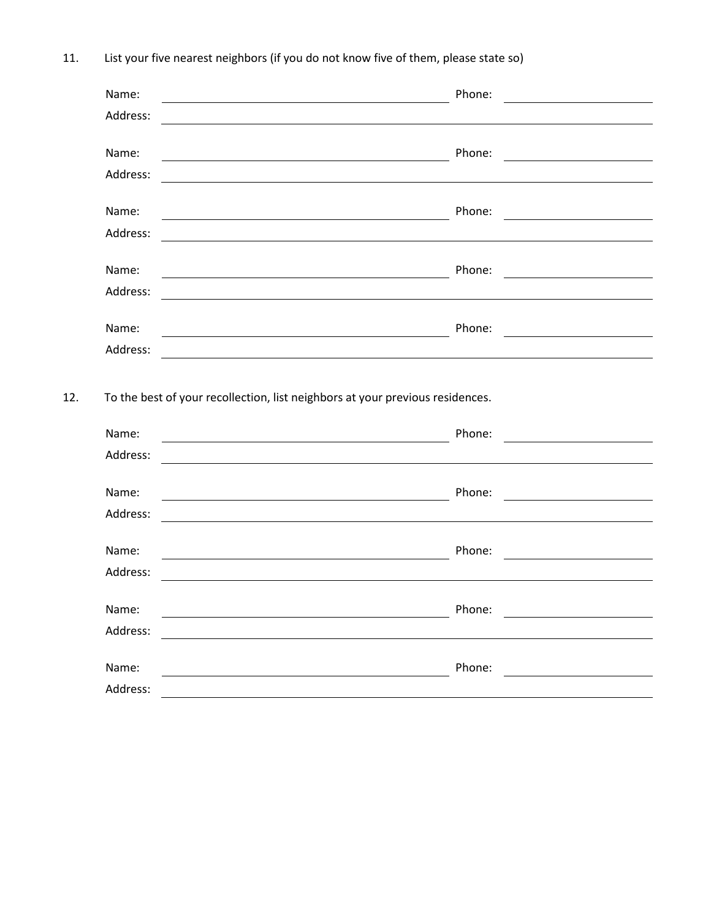11. List your five nearest neighbors (if you do not know five of them, please state so)

| Name:                                                                                                                 | Phone:                                                                                                                                                                           |
|-----------------------------------------------------------------------------------------------------------------------|----------------------------------------------------------------------------------------------------------------------------------------------------------------------------------|
| Address:                                                                                                              |                                                                                                                                                                                  |
| Name:                                                                                                                 | Phone:                                                                                                                                                                           |
| Address:                                                                                                              | <u> 1989 - Johann Barnett, fransk politik (d. 1989)</u><br><u> 1980 - Jan Sterling von Berling von Berling von Berling von Berling von Berling von Berling von Berling von B</u> |
|                                                                                                                       |                                                                                                                                                                                  |
| Name:                                                                                                                 | Phone:                                                                                                                                                                           |
| Address:                                                                                                              |                                                                                                                                                                                  |
| Name:                                                                                                                 | Phone:                                                                                                                                                                           |
| Address:                                                                                                              |                                                                                                                                                                                  |
| Name:                                                                                                                 | Phone:                                                                                                                                                                           |
| Address:                                                                                                              |                                                                                                                                                                                  |
|                                                                                                                       |                                                                                                                                                                                  |
|                                                                                                                       |                                                                                                                                                                                  |
|                                                                                                                       | Phone:                                                                                                                                                                           |
| <u> 1989 - Johann Barbara, martxa alemaniar a</u>                                                                     | <u> 1989 - Johann Stoff, deutscher Stoff, der Stoff, der Stoff, der Stoff, der Stoff, der Stoff, der Stoff, der S</u>                                                            |
|                                                                                                                       |                                                                                                                                                                                  |
| <u> 2000 - Johann Stoff, deutscher Stoff, der Stoff, der Stoff, der Stoff, der Stoff, der Stoff, der Stoff, der S</u> | Phone:                                                                                                                                                                           |
|                                                                                                                       |                                                                                                                                                                                  |
| Name:<br>Address:<br>Name:<br>Address:<br>Name:                                                                       | Phone:                                                                                                                                                                           |
|                                                                                                                       |                                                                                                                                                                                  |
| Address:                                                                                                              |                                                                                                                                                                                  |
| To the best of your recollection, list neighbors at your previous residences.<br>Name:<br>Address:                    | Phone:                                                                                                                                                                           |
|                                                                                                                       |                                                                                                                                                                                  |
| Name:                                                                                                                 | Phone:                                                                                                                                                                           |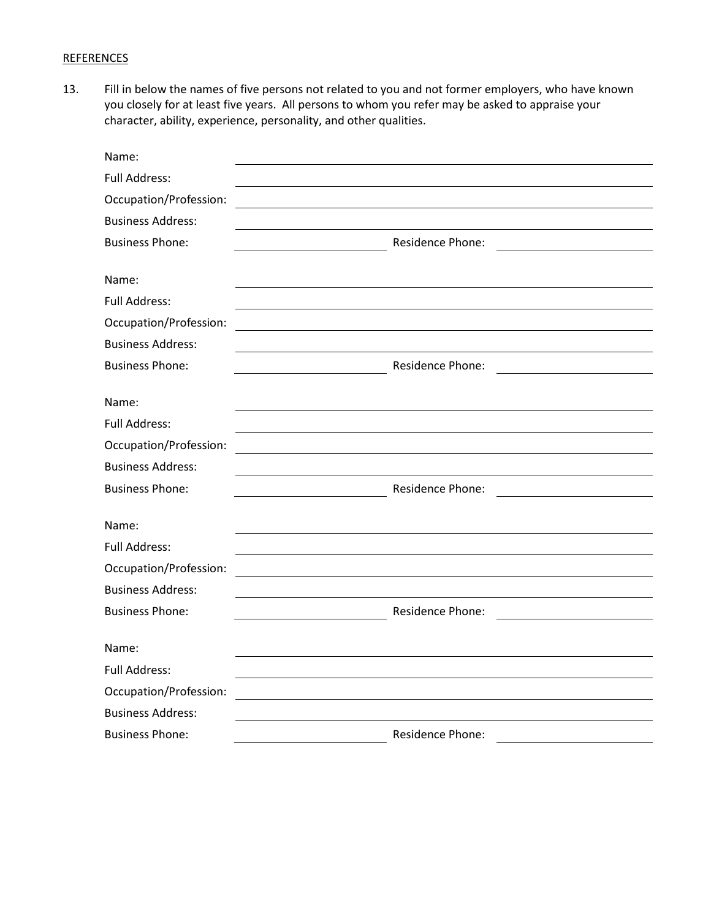## **REFERENCES**

13. Fill in below the names of five persons not related to you and not former employers, who have known you closely for at least five years. All persons to whom you refer may be asked to appraise your character, ability, experience, personality, and other qualities.

| Name:                    |                         |  |
|--------------------------|-------------------------|--|
| <b>Full Address:</b>     |                         |  |
| Occupation/Profession:   |                         |  |
| <b>Business Address:</b> |                         |  |
| <b>Business Phone:</b>   | Residence Phone:        |  |
|                          |                         |  |
| Name:                    |                         |  |
| <b>Full Address:</b>     |                         |  |
| Occupation/Profession:   |                         |  |
| <b>Business Address:</b> |                         |  |
| <b>Business Phone:</b>   | Residence Phone:        |  |
|                          |                         |  |
| Name:                    |                         |  |
| <b>Full Address:</b>     |                         |  |
| Occupation/Profession:   |                         |  |
| <b>Business Address:</b> |                         |  |
| <b>Business Phone:</b>   | <b>Residence Phone:</b> |  |
| Name:                    |                         |  |
| Full Address:            |                         |  |
| Occupation/Profession:   |                         |  |
| <b>Business Address:</b> |                         |  |
| <b>Business Phone:</b>   | <b>Residence Phone:</b> |  |
| Name:                    |                         |  |
| <b>Full Address:</b>     |                         |  |
| Occupation/Profession:   |                         |  |
| <b>Business Address:</b> |                         |  |
| <b>Business Phone:</b>   | Residence Phone:        |  |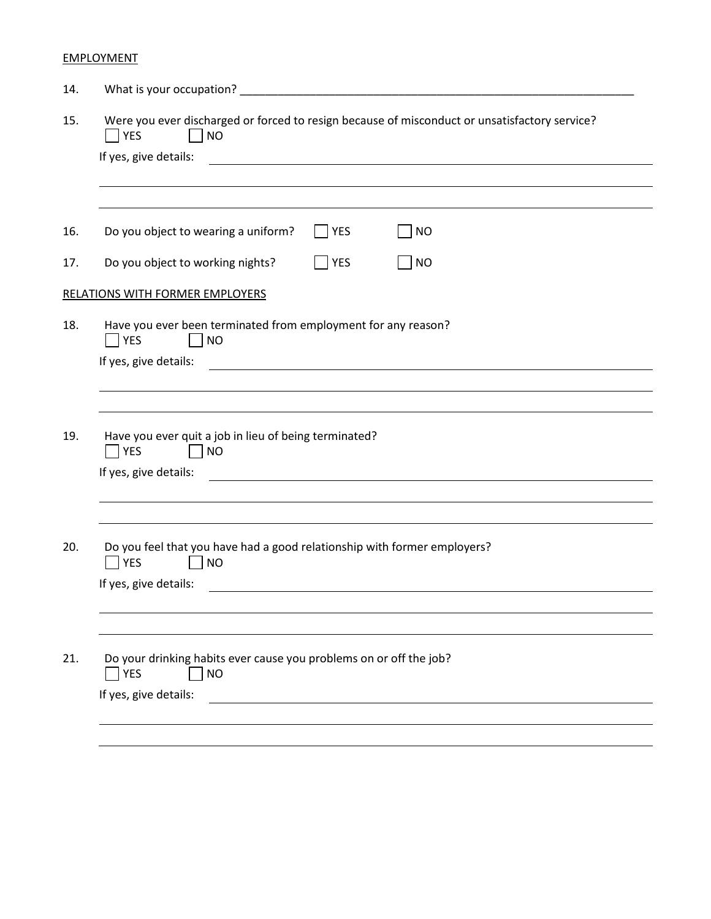# **EMPLOYMENT**

| 14. | What is your occupation?                                                                                               |  |  |  |  |
|-----|------------------------------------------------------------------------------------------------------------------------|--|--|--|--|
| 15. | Were you ever discharged or forced to resign because of misconduct or unsatisfactory service?<br>  YES<br><b>NO</b>    |  |  |  |  |
|     | If yes, give details:                                                                                                  |  |  |  |  |
|     |                                                                                                                        |  |  |  |  |
| 16. | Do you object to wearing a uniform?<br>YES<br><b>NO</b>                                                                |  |  |  |  |
| 17. | Do you object to working nights?<br>YES<br><b>NO</b>                                                                   |  |  |  |  |
|     | RELATIONS WITH FORMER EMPLOYERS                                                                                        |  |  |  |  |
| 18. | Have you ever been terminated from employment for any reason?<br><b>YES</b><br>   NO                                   |  |  |  |  |
|     | If yes, give details:                                                                                                  |  |  |  |  |
|     |                                                                                                                        |  |  |  |  |
| 19. | Have you ever quit a job in lieu of being terminated?<br>$\overline{\phantom{a}}$ YES<br>   NO                         |  |  |  |  |
|     | If yes, give details:                                                                                                  |  |  |  |  |
|     |                                                                                                                        |  |  |  |  |
| 20. | Do you feel that you have had a good relationship with former employers?<br><b>YES</b><br> NO<br>If yes, give details: |  |  |  |  |
|     |                                                                                                                        |  |  |  |  |
|     |                                                                                                                        |  |  |  |  |
| 21. | Do your drinking habits ever cause you problems on or off the job?<br><b>YES</b><br><b>NO</b>                          |  |  |  |  |
|     | If yes, give details:                                                                                                  |  |  |  |  |
|     |                                                                                                                        |  |  |  |  |
|     |                                                                                                                        |  |  |  |  |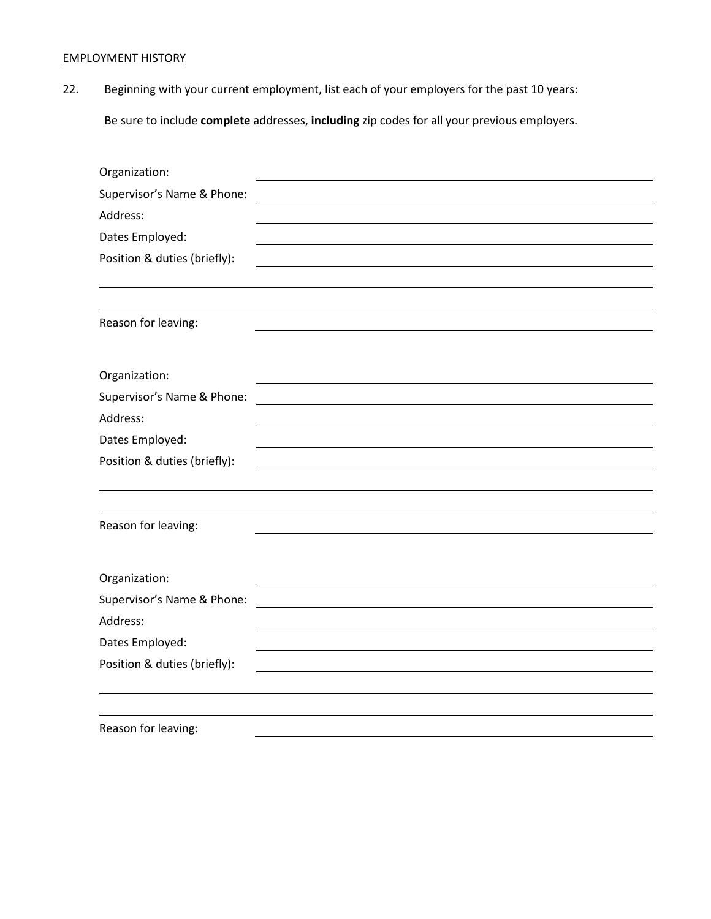# EMPLOYMENT HISTORY

22. Beginning with your current employment, list each of your employers for the past 10 years:

Be sure to include **complete** addresses, **including** zip codes for all your previous employers.

| Organization:                |  |
|------------------------------|--|
| Supervisor's Name & Phone:   |  |
| Address:                     |  |
| Dates Employed:              |  |
| Position & duties (briefly): |  |
|                              |  |
|                              |  |
| Reason for leaving:          |  |
|                              |  |
| Organization:                |  |
| Supervisor's Name & Phone:   |  |
| Address:                     |  |
| Dates Employed:              |  |
| Position & duties (briefly): |  |
|                              |  |
|                              |  |
| Reason for leaving:          |  |
|                              |  |
| Organization:                |  |
| Supervisor's Name & Phone:   |  |
| Address:                     |  |
| Dates Employed:              |  |
| Position & duties (briefly): |  |
|                              |  |
|                              |  |
| Reason for leaving:          |  |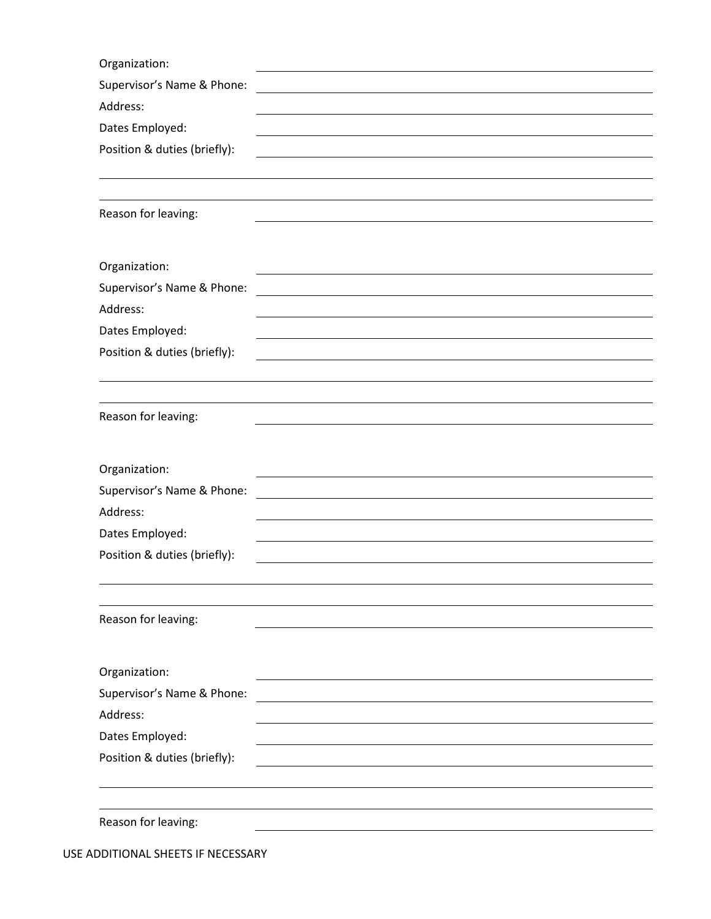| Organization:                          |
|----------------------------------------|
| Supervisor's Name & Phone:             |
| Address:                               |
| Dates Employed:                        |
| Position & duties (briefly):           |
|                                        |
|                                        |
| Reason for leaving:                    |
|                                        |
| Organization:                          |
| Supervisor's Name & Phone:             |
| Address:                               |
| Dates Employed:                        |
| Position & duties (briefly):           |
|                                        |
|                                        |
| Reason for leaving:                    |
|                                        |
| Organization:                          |
| Supervisor's Name & Phone:             |
| Address:                               |
| Dates Employed:                        |
| Position & duties (briefly):           |
|                                        |
|                                        |
| Reason for leaving:                    |
|                                        |
| Organization:                          |
|                                        |
|                                        |
| Supervisor's Name & Phone:<br>Address: |
| Dates Employed:                        |
| Position & duties (briefly):           |
|                                        |
|                                        |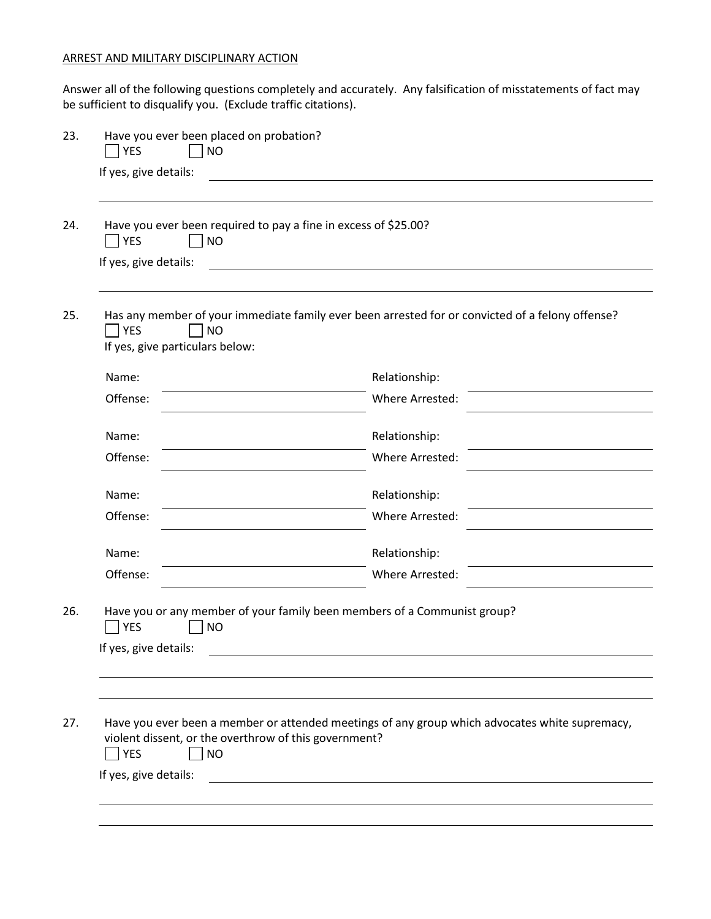### ARREST AND MILITARY DISCIPLINARY ACTION

Answer all of the following questions completely and accurately. Any falsification of misstatements of fact may be sufficient to disqualify you. (Exclude traffic citations).

| Have you ever been required to pay a fine in excess of \$25.00?<br><b>YES</b><br><b>NO</b><br>If yes, give details: |                                                                                                  |
|---------------------------------------------------------------------------------------------------------------------|--------------------------------------------------------------------------------------------------|
| <b>YES</b><br><b>NO</b><br>If yes, give particulars below:                                                          | Has any member of your immediate family ever been arrested for or convicted of a felony offense? |
| Name:                                                                                                               | Relationship:                                                                                    |
| Offense:                                                                                                            | Where Arrested:                                                                                  |
| Name:                                                                                                               | Relationship:                                                                                    |
| Offense:                                                                                                            | Where Arrested:                                                                                  |
| Name:                                                                                                               | Relationship:                                                                                    |
| Offense:                                                                                                            | Where Arrested:                                                                                  |
| Name:                                                                                                               | Relationship:                                                                                    |
| Offense:                                                                                                            | Where Arrested:                                                                                  |
| <b>YES</b><br><b>NO</b><br>If yes, give details:                                                                    | Have you or any member of your family been members of a Communist group?                         |
|                                                                                                                     | Have you ever been a member or attended meetings of any group which advocates white supremacy,   |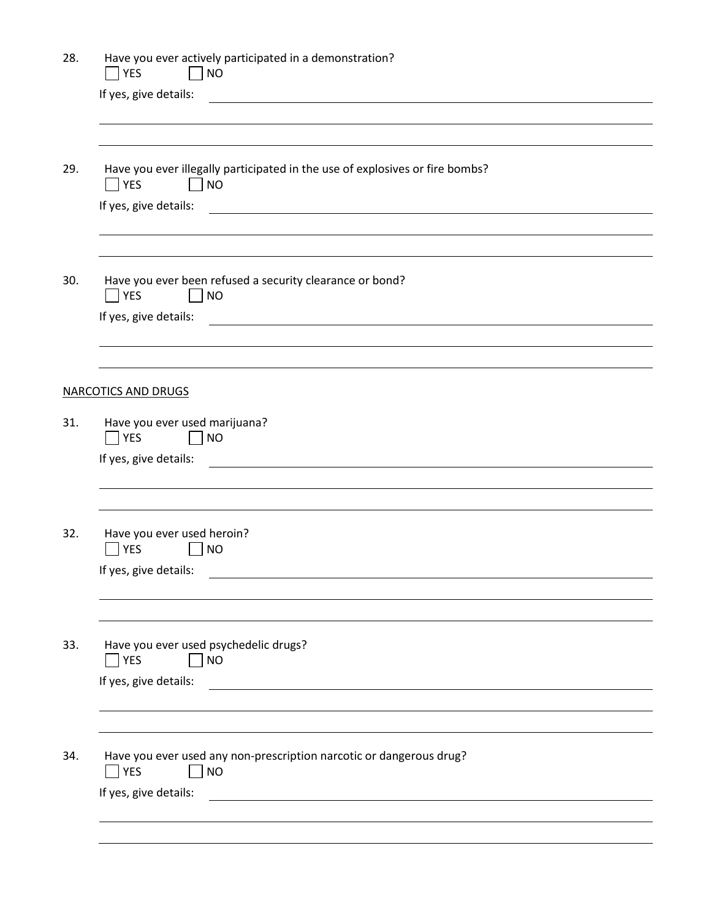| 28. | Have you ever actively participated in a demonstration?<br>YES<br>$\Box$ NO                                                                    |  |  |  |  |
|-----|------------------------------------------------------------------------------------------------------------------------------------------------|--|--|--|--|
|     | If yes, give details:<br><u> 1989 - Jan Barbara de Santo III e al Indonesia de la contrada de la contrada de la contrada de la contrada de</u> |  |  |  |  |
|     |                                                                                                                                                |  |  |  |  |
| 29. | Have you ever illegally participated in the use of explosives or fire bombs?<br>$\bigcap$ YES<br>$  \rceil$ NO                                 |  |  |  |  |
|     | If yes, give details:<br><u> 1989 - Johann John Stone, markin fan it ferstjer fan de ferstjer fan it ferstjer fan it ferstjer fan it fers</u>  |  |  |  |  |
|     |                                                                                                                                                |  |  |  |  |
| 30. | Have you ever been refused a security clearance or bond?<br><b>TYES</b><br>$\Box$ NO                                                           |  |  |  |  |
|     | If yes, give details:<br><u> 1989 - Andrea Station Barbara, amerikan personal (h. 1989)</u>                                                    |  |  |  |  |
|     |                                                                                                                                                |  |  |  |  |
|     | <b>NARCOTICS AND DRUGS</b>                                                                                                                     |  |  |  |  |
| 31. | Have you ever used marijuana?<br>$\Box$ NO<br><b>YES</b><br>If yes, give details:                                                              |  |  |  |  |
|     | <u> 1989 - Andrea Station Barbara, amerikan personal (h. 1989)</u>                                                                             |  |  |  |  |
|     |                                                                                                                                                |  |  |  |  |
| 32. | Have you ever used heroin?<br><b>YES</b><br>$\vert$ $\vert$ NO                                                                                 |  |  |  |  |
|     | If yes, give details:                                                                                                                          |  |  |  |  |
|     |                                                                                                                                                |  |  |  |  |
| 33. | Have you ever used psychedelic drugs?<br><b>YES</b><br><b>NO</b><br>If yes, give details:                                                      |  |  |  |  |
|     | <u> 1989 - Johann Barbara, martin amerikan ba</u>                                                                                              |  |  |  |  |
|     |                                                                                                                                                |  |  |  |  |
| 34. | Have you ever used any non-prescription narcotic or dangerous drug?<br><b>YES</b><br><b>NO</b>                                                 |  |  |  |  |
|     | If yes, give details:<br><u> 1980 - Jan Samuel Barbara, margaret e populari e populari e populari e populari e populari e populari e popu</u>  |  |  |  |  |
|     |                                                                                                                                                |  |  |  |  |
|     |                                                                                                                                                |  |  |  |  |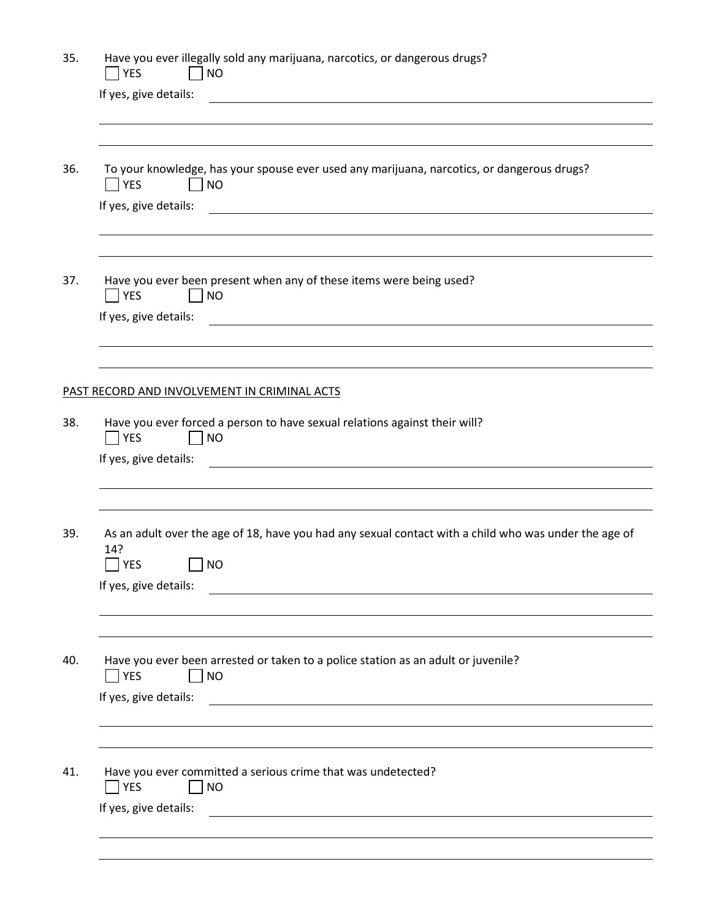| 35. | Have you ever illegally sold any marijuana, narcotics, or dangerous drugs?<br><b>YES</b><br>   NO                                                                                                                                                             |
|-----|---------------------------------------------------------------------------------------------------------------------------------------------------------------------------------------------------------------------------------------------------------------|
|     | If yes, give details:<br><u>and the state of the state of the state of the state of the state of the state of the state of the state of the state of the state of the state of the state of the state of the state of the state of the state of the state</u> |
|     |                                                                                                                                                                                                                                                               |
| 36. | To your knowledge, has your spouse ever used any marijuana, narcotics, or dangerous drugs?<br>$\bigcap$ YES<br>$\vert$ $\vert$ NO                                                                                                                             |
|     | If yes, give details:                                                                                                                                                                                                                                         |
| 37. | Have you ever been present when any of these items were being used?<br>$\overline{\phantom{a}}$ YES<br>   NO                                                                                                                                                  |
|     | If yes, give details:<br><u> 1980 - Andrea Andrew Maria (h. 1980).</u><br>1901 - Andrew Maria (h. 1902).                                                                                                                                                      |
|     | PAST RECORD AND INVOLVEMENT IN CRIMINAL ACTS                                                                                                                                                                                                                  |
| 38. | Have you ever forced a person to have sexual relations against their will?<br>$\Box$ YES<br>$\Box$ NO<br>If yes, give details:<br><u> 1989 - Johann John Stone, markin film yn y brening yn y brening yn y brening yn y brening yn y brening yn y</u>         |
| 39. | As an adult over the age of 18, have you had any sexual contact with a child who was under the age of<br>14?<br><b>YES</b><br> NO<br>$\Box$<br>If yes, give details:<br><u> 1980 - Andrea Andrew Maria (h. 1980).</u>                                         |
| 40. | Have you ever been arrested or taken to a police station as an adult or juvenile?<br><b>TYES</b><br>$\Box$ NO<br>If yes, give details:                                                                                                                        |
| 41. | Have you ever committed a serious crime that was undetected?<br>$ $ YES<br><b>NO</b><br>If yes, give details:                                                                                                                                                 |
|     | <u> 1989 - Jan Stern Harry Harry Harry Harry Harry Harry Harry Harry Harry Harry Harry Harry Harry Harry Harry Har</u>                                                                                                                                        |
|     |                                                                                                                                                                                                                                                               |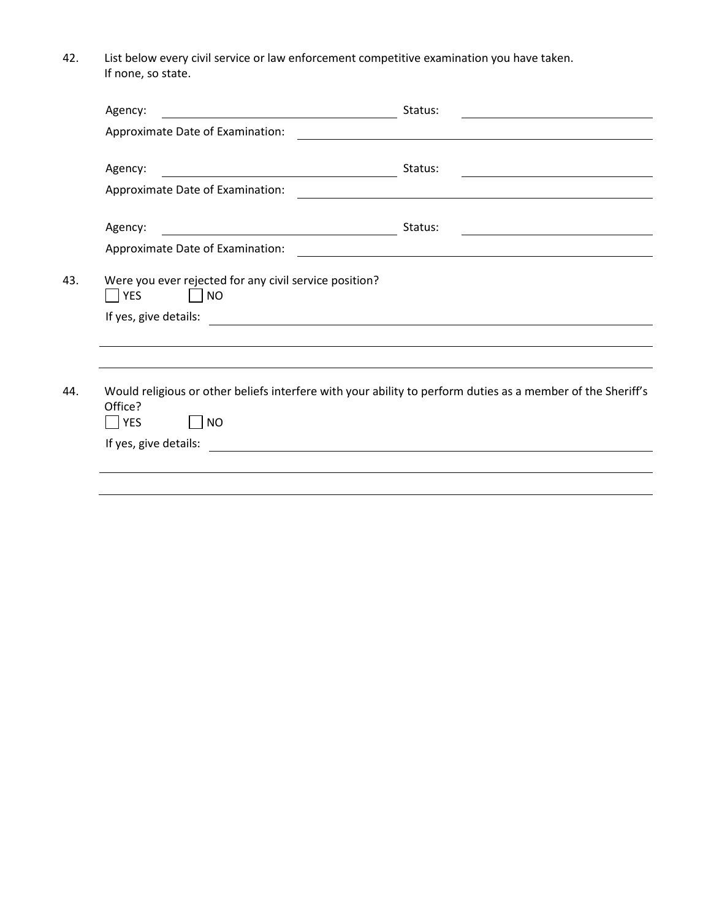42. List below every civil service or law enforcement competitive examination you have taken. If none, so state.

| Agency:                                                                                                                                                                                                                                         | Status:                                                                                                              |
|-------------------------------------------------------------------------------------------------------------------------------------------------------------------------------------------------------------------------------------------------|----------------------------------------------------------------------------------------------------------------------|
| Approximate Date of Examination:                                                                                                                                                                                                                |                                                                                                                      |
| Agency:<br><u>and the contract of the contract of the contract of the contract of the contract of the contract of the contract of the contract of the contract of the contract of the contract of the contract of the contract of the contr</u> | Status:                                                                                                              |
| Approximate Date of Examination:                                                                                                                                                                                                                |                                                                                                                      |
| Agency:                                                                                                                                                                                                                                         | Status:                                                                                                              |
| Approximate Date of Examination:                                                                                                                                                                                                                | <u> 1989 - Johann Stein, mars an deus Amerikaansk kommunister (</u>                                                  |
| If yes, give details:                                                                                                                                                                                                                           | <u> 1989 - Andrea Stadt Britain, fransk politik (f. 1989)</u>                                                        |
| Office?<br>$\overline{\phantom{a}}$ YES<br>   NO                                                                                                                                                                                                | Would religious or other beliefs interfere with your ability to perform duties as a member of the Sheriff's          |
| If yes, give details:                                                                                                                                                                                                                           | <u> 1980 - Jan Stein Stein Stein Stein Stein Stein Stein Stein Stein Stein Stein Stein Stein Stein Stein Stein S</u> |
|                                                                                                                                                                                                                                                 |                                                                                                                      |
|                                                                                                                                                                                                                                                 |                                                                                                                      |
|                                                                                                                                                                                                                                                 |                                                                                                                      |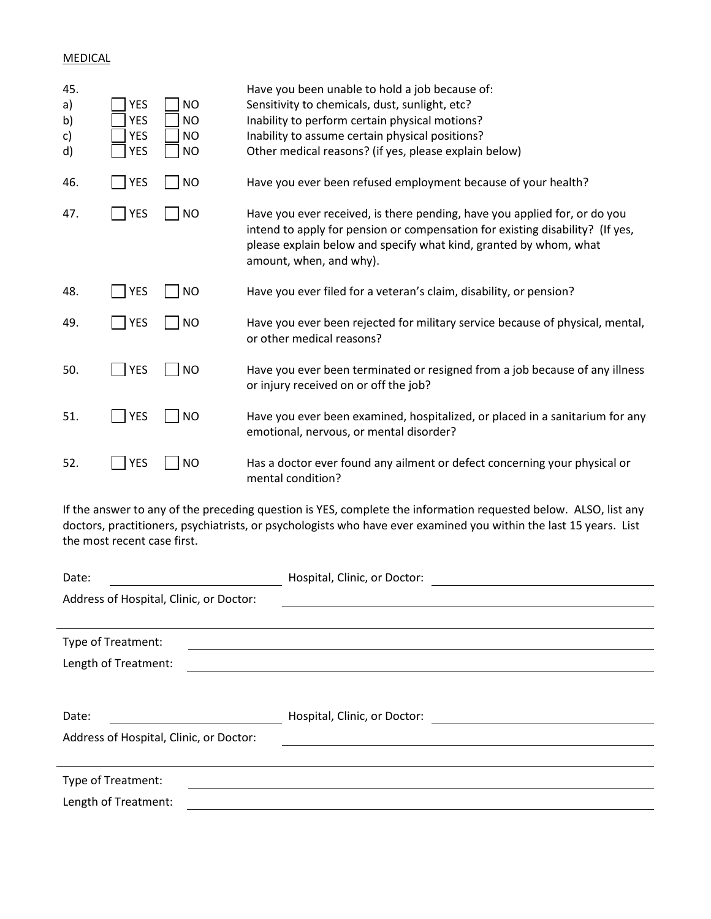## MEDICAL

| 45.<br>a)<br>b)<br>c)<br>d)                                                                                                                                                                                                          | <b>YES</b><br><b>YES</b><br><b>YES</b><br><b>YES</b> | <b>NO</b><br><b>NO</b><br><b>NO</b><br><b>NO</b> | Have you been unable to hold a job because of:<br>Sensitivity to chemicals, dust, sunlight, etc?<br>Inability to perform certain physical motions?<br>Inability to assume certain physical positions?<br>Other medical reasons? (if yes, please explain below) |  |  |
|--------------------------------------------------------------------------------------------------------------------------------------------------------------------------------------------------------------------------------------|------------------------------------------------------|--------------------------------------------------|----------------------------------------------------------------------------------------------------------------------------------------------------------------------------------------------------------------------------------------------------------------|--|--|
| 46.                                                                                                                                                                                                                                  | <b>YES</b>                                           | <b>NO</b>                                        | Have you ever been refused employment because of your health?                                                                                                                                                                                                  |  |  |
| 47.                                                                                                                                                                                                                                  | <b>YES</b>                                           | <b>NO</b>                                        | Have you ever received, is there pending, have you applied for, or do you<br>intend to apply for pension or compensation for existing disability? (If yes,<br>please explain below and specify what kind, granted by whom, what<br>amount, when, and why).     |  |  |
| 48.                                                                                                                                                                                                                                  | <b>YES</b>                                           | <b>NO</b>                                        | Have you ever filed for a veteran's claim, disability, or pension?                                                                                                                                                                                             |  |  |
| 49.                                                                                                                                                                                                                                  | <b>YES</b>                                           | <b>NO</b>                                        | Have you ever been rejected for military service because of physical, mental,<br>or other medical reasons?                                                                                                                                                     |  |  |
| 50.                                                                                                                                                                                                                                  | <b>YES</b>                                           | <b>NO</b>                                        | Have you ever been terminated or resigned from a job because of any illness<br>or injury received on or off the job?                                                                                                                                           |  |  |
| 51.                                                                                                                                                                                                                                  | <b>YES</b>                                           | <b>NO</b>                                        | Have you ever been examined, hospitalized, or placed in a sanitarium for any<br>emotional, nervous, or mental disorder?                                                                                                                                        |  |  |
| 52.                                                                                                                                                                                                                                  | <b>YES</b>                                           | <b>NO</b>                                        | Has a doctor ever found any ailment or defect concerning your physical or<br>mental condition?                                                                                                                                                                 |  |  |
| If the answer to any of the preceding question is YES, complete the information requested below. ALSO, list any<br>doctors, practitioners, psychiatrists, or psychologists who have ever examined you within the last 15 years. List |                                                      |                                                  |                                                                                                                                                                                                                                                                |  |  |

the most recent case first.

| Date:                                   | Hospital, Clinic, or Doctor: |
|-----------------------------------------|------------------------------|
| Address of Hospital, Clinic, or Doctor: |                              |
|                                         |                              |
| Type of Treatment:                      |                              |
| Length of Treatment:                    |                              |
|                                         |                              |
| Date:                                   | Hospital, Clinic, or Doctor: |
|                                         |                              |
| Address of Hospital, Clinic, or Doctor: |                              |
|                                         |                              |
| Type of Treatment:                      |                              |
| Length of Treatment:                    |                              |
|                                         |                              |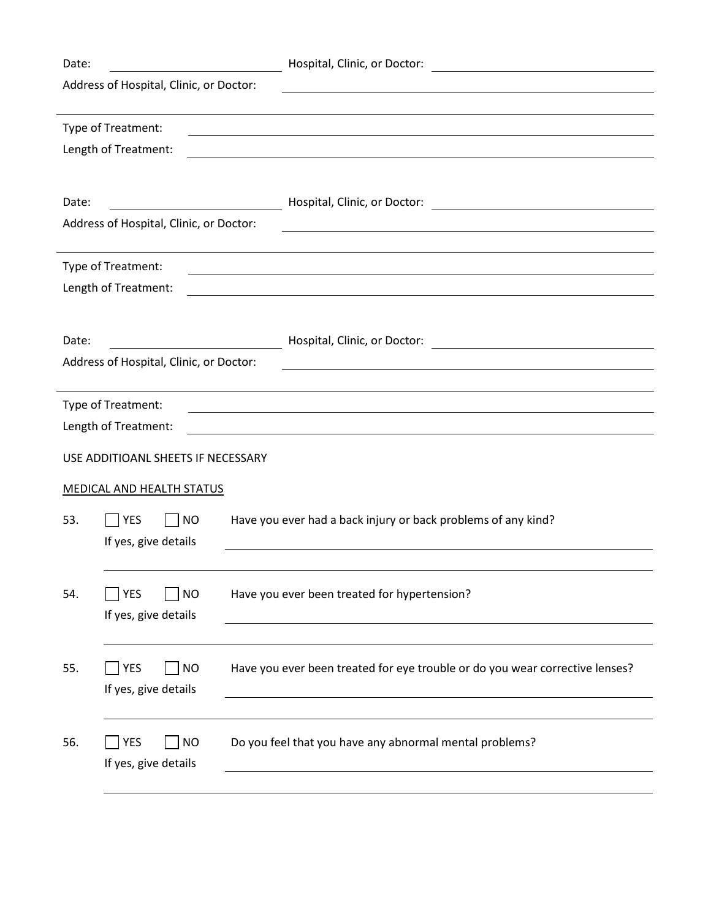| Date: |                                         | Hospital, Clinic, or Doctor:                                                 |
|-------|-----------------------------------------|------------------------------------------------------------------------------|
|       | Address of Hospital, Clinic, or Doctor: |                                                                              |
|       |                                         |                                                                              |
|       | Type of Treatment:                      |                                                                              |
|       | Length of Treatment:                    |                                                                              |
|       |                                         |                                                                              |
|       |                                         |                                                                              |
| Date: |                                         | Hospital, Clinic, or Doctor:<br>the control of the control of the control of |
|       | Address of Hospital, Clinic, or Doctor: |                                                                              |
|       |                                         |                                                                              |
|       | Type of Treatment:                      |                                                                              |
|       | Length of Treatment:                    |                                                                              |
|       |                                         |                                                                              |
| Date: |                                         | Hospital, Clinic, or Doctor:                                                 |
|       | Address of Hospital, Clinic, or Doctor: |                                                                              |
|       |                                         |                                                                              |
|       | Type of Treatment:                      |                                                                              |
|       | Length of Treatment:                    |                                                                              |
|       |                                         |                                                                              |
|       | USE ADDITIOANL SHEETS IF NECESSARY      |                                                                              |
|       | <b>MEDICAL AND HEALTH STATUS</b>        |                                                                              |
|       |                                         |                                                                              |
| 53.   | YES<br><b>NO</b>                        | Have you ever had a back injury or back problems of any kind?                |
|       | If yes, give details                    |                                                                              |
|       |                                         |                                                                              |
|       | <b>YES</b><br><b>NO</b>                 |                                                                              |
| 54.   |                                         | Have you ever been treated for hypertension?                                 |
|       | If yes, give details                    |                                                                              |
|       |                                         |                                                                              |
| 55.   | <b>NO</b><br><b>YES</b>                 | Have you ever been treated for eye trouble or do you wear corrective lenses? |
|       | If yes, give details                    |                                                                              |
|       |                                         |                                                                              |
|       |                                         |                                                                              |
| 56.   | <b>YES</b><br><b>NO</b>                 | Do you feel that you have any abnormal mental problems?                      |
|       | If yes, give details                    |                                                                              |
|       |                                         |                                                                              |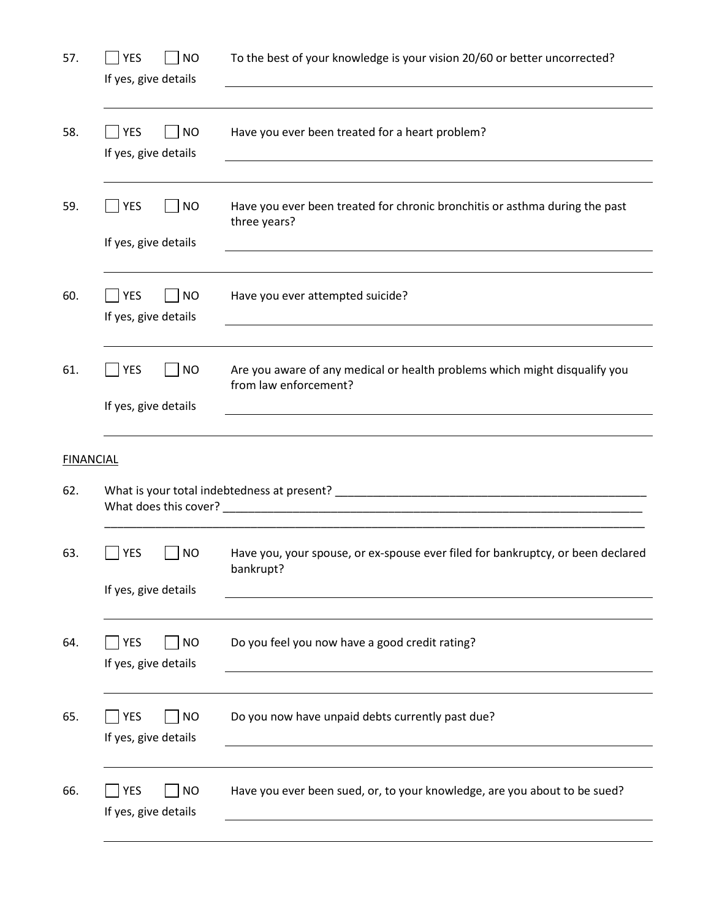| 57.              | <b>YES</b><br><b>NO</b><br>If yes, give details | To the best of your knowledge is your vision 20/60 or better uncorrected?                                                                                                                                                                                                                                        |
|------------------|-------------------------------------------------|------------------------------------------------------------------------------------------------------------------------------------------------------------------------------------------------------------------------------------------------------------------------------------------------------------------|
| 58.              | YES<br><b>NO</b><br>If yes, give details        | Have you ever been treated for a heart problem?                                                                                                                                                                                                                                                                  |
| 59.              | YES<br><b>NO</b><br>If yes, give details        | Have you ever been treated for chronic bronchitis or asthma during the past<br>three years?                                                                                                                                                                                                                      |
| 60.              | YES<br><b>NO</b><br>If yes, give details        | Have you ever attempted suicide?                                                                                                                                                                                                                                                                                 |
| 61.              | YES<br><b>NO</b><br>If yes, give details        | Are you aware of any medical or health problems which might disqualify you<br>from law enforcement?                                                                                                                                                                                                              |
| <b>FINANCIAL</b> |                                                 |                                                                                                                                                                                                                                                                                                                  |
| 62.              |                                                 |                                                                                                                                                                                                                                                                                                                  |
| 63.              | <b>NO</b><br>YES<br>If yes, give details        | Have you, your spouse, or ex-spouse ever filed for bankruptcy, or been declared<br>bankrupt? The contract of the contract of the contract of the contract of the contract of the contract of the contract of the contract of the contract of the contract of the contract of the contract of the contract of the |
|                  |                                                 |                                                                                                                                                                                                                                                                                                                  |
| 64.              | <b>YES</b><br><b>NO</b><br>If yes, give details | Do you feel you now have a good credit rating?                                                                                                                                                                                                                                                                   |
| 65.              | YES<br><b>NO</b><br>If yes, give details        | Do you now have unpaid debts currently past due?                                                                                                                                                                                                                                                                 |
| 66.              | <b>YES</b><br><b>NO</b><br>If yes, give details | Have you ever been sued, or, to your knowledge, are you about to be sued?                                                                                                                                                                                                                                        |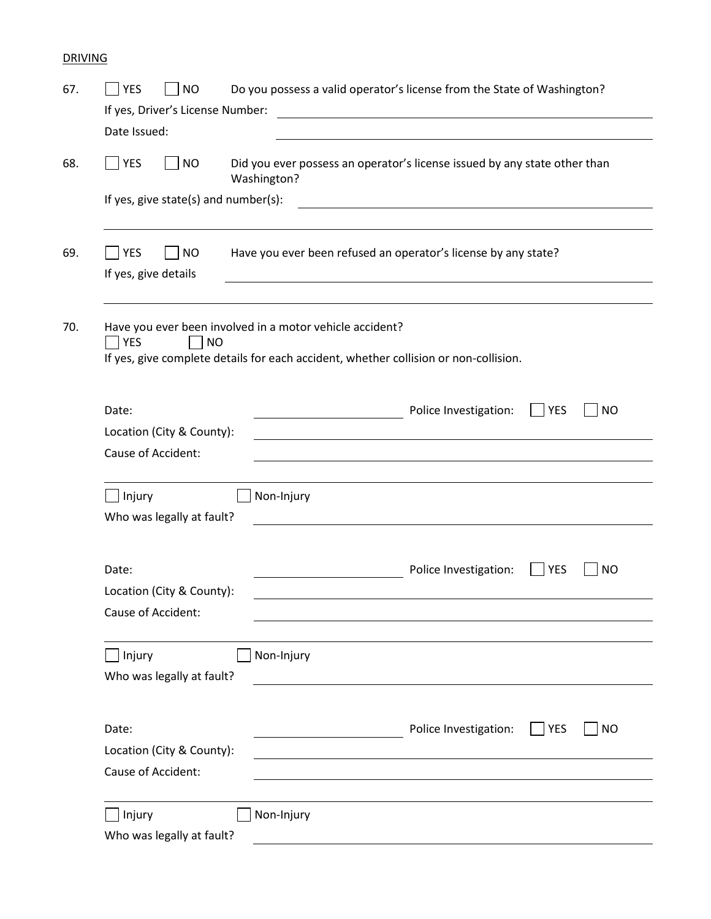# DRIVING

| If yes, Driver's License Number:                                       | <b>NO</b> |             | Do you possess a valid operator's license from the State of Washington?                                               |            |           |
|------------------------------------------------------------------------|-----------|-------------|-----------------------------------------------------------------------------------------------------------------------|------------|-----------|
| Date Issued:                                                           |           |             |                                                                                                                       |            |           |
|                                                                        |           |             |                                                                                                                       |            |           |
| <b>YES</b>                                                             | <b>NO</b> | Washington? | Did you ever possess an operator's license issued by any state other than                                             |            |           |
| If yes, give state(s) and number(s):                                   |           |             |                                                                                                                       |            |           |
| <b>YES</b>                                                             | <b>NO</b> |             | Have you ever been refused an operator's license by any state?                                                        |            |           |
| If yes, give details                                                   |           |             |                                                                                                                       |            |           |
| Have you ever been involved in a motor vehicle accident?<br><b>YES</b> | <b>NO</b> |             | If yes, give complete details for each accident, whether collision or non-collision.                                  |            |           |
|                                                                        |           |             |                                                                                                                       |            |           |
| Date:                                                                  |           |             | Police Investigation:                                                                                                 | $ $ YES    | <b>NO</b> |
| Location (City & County):                                              |           |             | <u>and the state of the state of the state of the state of the state of the state of the state of the state of th</u> |            |           |
| Cause of Accident:                                                     |           |             |                                                                                                                       |            |           |
| Injury                                                                 |           | Non-Injury  |                                                                                                                       |            |           |
| Who was legally at fault?                                              |           |             |                                                                                                                       |            |           |
| Date:                                                                  |           |             | Police Investigation:                                                                                                 | <b>YES</b> | <b>NO</b> |
| Location (City & County):                                              |           |             |                                                                                                                       |            |           |
| Cause of Accident:                                                     |           |             |                                                                                                                       |            |           |
| Injury                                                                 |           | Non-Injury  |                                                                                                                       |            |           |
| Who was legally at fault?                                              |           |             |                                                                                                                       |            |           |
|                                                                        |           |             |                                                                                                                       |            |           |
|                                                                        |           |             |                                                                                                                       |            |           |
| Date:                                                                  |           |             | Police Investigation:                                                                                                 | YES        |           |
| Location (City & County):<br>Cause of Accident:                        |           |             |                                                                                                                       |            | <b>NO</b> |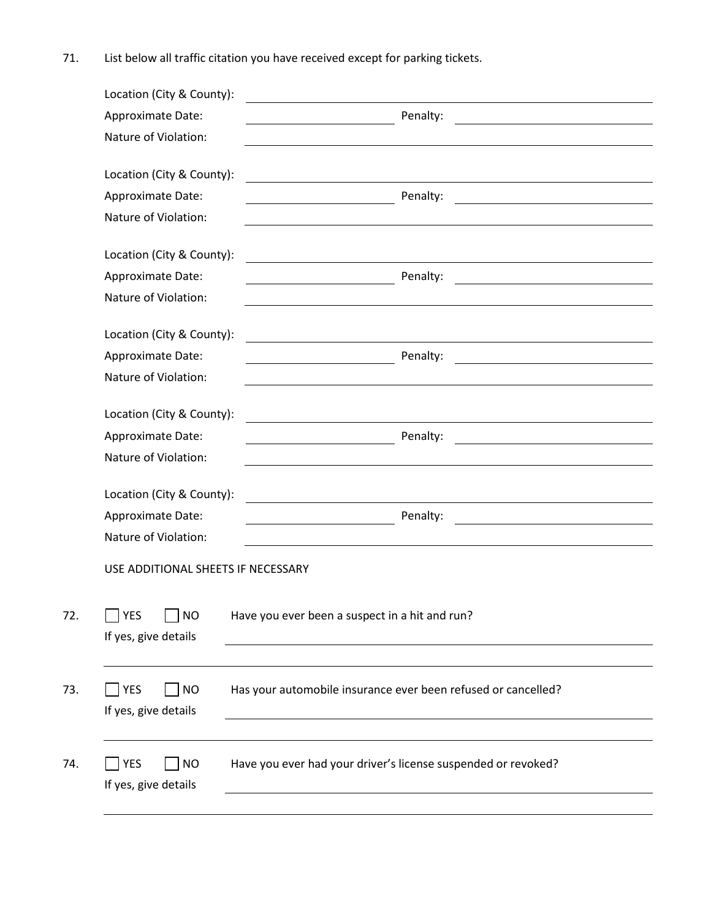71. List below all traffic citation you have received except for parking tickets.

| Location (City & County):          |                                    |                                                                                                                                                                                                                               |
|------------------------------------|------------------------------------|-------------------------------------------------------------------------------------------------------------------------------------------------------------------------------------------------------------------------------|
| Approximate Date:                  |                                    | Penalty:                                                                                                                                                                                                                      |
| Nature of Violation:               |                                    |                                                                                                                                                                                                                               |
| Location (City & County):          |                                    | the control of the control of the control of the control of the control of the control of the control of the control of the control of the control of the control of the control of the control of the control of the control |
| Approximate Date:                  |                                    | Penalty:                                                                                                                                                                                                                      |
| Nature of Violation:               |                                    |                                                                                                                                                                                                                               |
| Location (City & County):          |                                    |                                                                                                                                                                                                                               |
| Approximate Date:                  |                                    | Penalty:<br><u> 1989 - Johann Barbara, martin amerikan basar dan basa dan basa dan basa dalam basa dan basa dan basa dan basa</u>                                                                                             |
| Nature of Violation:               |                                    |                                                                                                                                                                                                                               |
| Location (City & County):          |                                    |                                                                                                                                                                                                                               |
| Approximate Date:                  |                                    | Penalty:<br><u> 1980 - Jan Barnett, fransk politiker (d. 1980)</u>                                                                                                                                                            |
| Nature of Violation:               |                                    |                                                                                                                                                                                                                               |
| Location (City & County):          |                                    | <u> 1989 - John Stein, Amerikaansk politiker (</u>                                                                                                                                                                            |
| Approximate Date:                  |                                    | Penalty:                                                                                                                                                                                                                      |
| Nature of Violation:               |                                    |                                                                                                                                                                                                                               |
| Location (City & County):          |                                    | <u> 1980 - Jan Stein Stein Stein Stein Stein Stein Stein Stein Stein Stein Stein Stein Stein Stein Stein Stein S</u>                                                                                                          |
| Approximate Date:                  |                                    | Penalty:                                                                                                                                                                                                                      |
| Nature of Violation:               |                                    |                                                                                                                                                                                                                               |
|                                    | USE ADDITIONAL SHEETS IF NECESSARY |                                                                                                                                                                                                                               |
| <b>YES</b><br>If yes, give details | <b>NO</b>                          | Have you ever been a suspect in a hit and run?                                                                                                                                                                                |
| YES<br>If yes, give details        | <b>NO</b>                          | Has your automobile insurance ever been refused or cancelled?                                                                                                                                                                 |
| YES                                | <b>NO</b>                          | Have you ever had your driver's license suspended or revoked?                                                                                                                                                                 |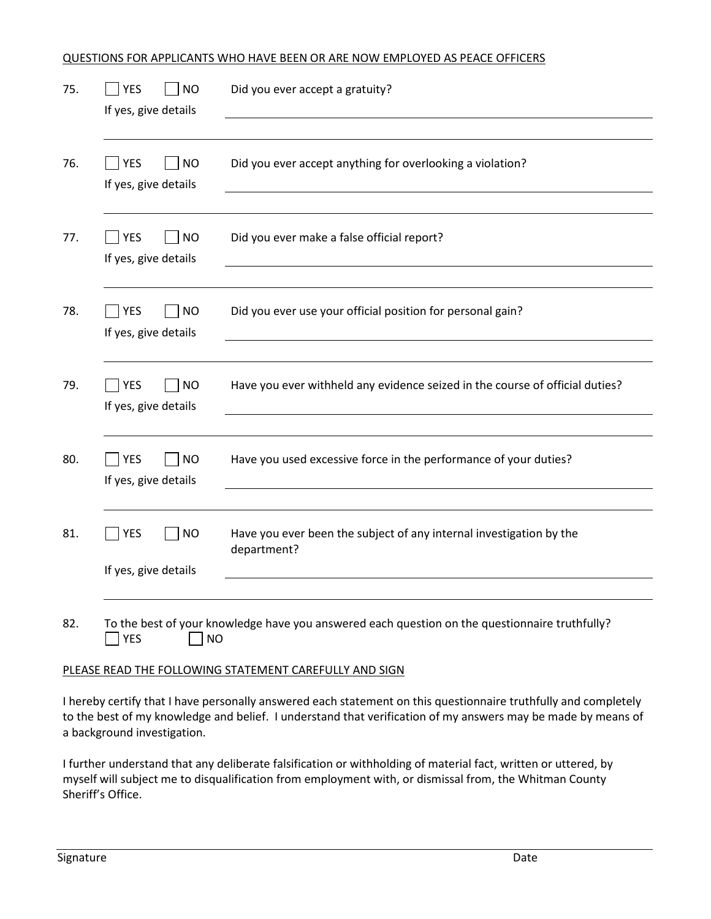#### QUESTIONS FOR APPLICANTS WHO HAVE BEEN OR ARE NOW EMPLOYED AS PEACE OFFICERS

| 75. | <b>YES</b><br><b>NO</b><br>If yes, give details    | Did you ever accept a gratuity?                                                                |
|-----|----------------------------------------------------|------------------------------------------------------------------------------------------------|
| 76. | $\bigcap$ YES<br><b>NO</b><br>If yes, give details | Did you ever accept anything for overlooking a violation?                                      |
| 77. | YES<br> NO<br>If yes, give details                 | Did you ever make a false official report?                                                     |
| 78. | <b>NO</b><br><b>YES</b><br>If yes, give details    | Did you ever use your official position for personal gain?                                     |
| 79. | <b>NO</b><br><b>YES</b><br>If yes, give details    | Have you ever withheld any evidence seized in the course of official duties?                   |
| 80. | <b>YES</b><br><b>NO</b><br>If yes, give details    | Have you used excessive force in the performance of your duties?                               |
| 81. | <b>NO</b><br><b>YES</b><br>If yes, give details    | Have you ever been the subject of any internal investigation by the<br>department?             |
| 82. | <b>YES</b><br><b>NO</b>                            | To the best of your knowledge have you answered each question on the questionnaire truthfully? |

#### PLEASE READ THE FOLLOWING STATEMENT CAREFULLY AND SIGN

I hereby certify that I have personally answered each statement on this questionnaire truthfully and completely to the best of my knowledge and belief. I understand that verification of my answers may be made by means of a background investigation.

I further understand that any deliberate falsification or withholding of material fact, written or uttered, by myself will subject me to disqualification from employment with, or dismissal from, the Whitman County Sheriff's Office.